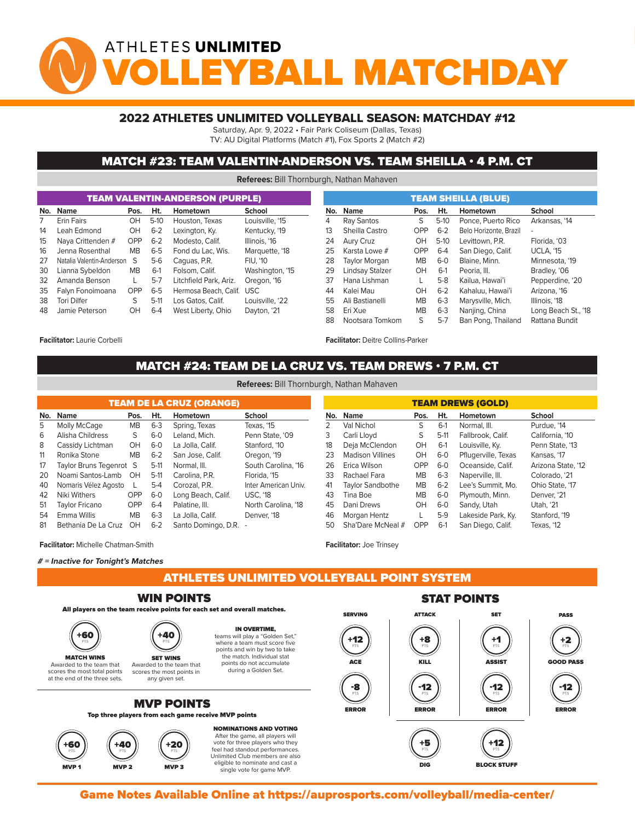# ATHLETES UNLIMITED YBALL MATCHDA

### 2022 ATHLETES UNLIMITED VOLLEYBALL SEASON: MATCHDAY #12

Saturday, Apr. 9, 2022 • Fair Park Coliseum (Dallas, Texas)

TV: AU Digital Platforms (Match #1), Fox Sports 2 (Match #2)

### MATCH #23: TEAM VALENTIN-ANDERSON VS. TEAM SHEILLA • 4 P.M. CT

**Referees:** Bill Thornburgh, Nathan Mahaven

|     |                           |            |         | <b>TEAM VALENTIN-ANDERSON (PURPLE)</b> |                 |     | <b>TEAM SHEILLA (BLUE)</b> |            |         |                        |                     |  |  |  |  |  |  |
|-----|---------------------------|------------|---------|----------------------------------------|-----------------|-----|----------------------------|------------|---------|------------------------|---------------------|--|--|--|--|--|--|
| No. | Name<br>Pos.              |            | Ht.     | Hometown                               | <b>School</b>   | No. | Name                       | Pos.       | Ht.     | Hometown               | School              |  |  |  |  |  |  |
|     | <b>Erin Fairs</b>         | OH         | $5-10$  | Houston, Texas                         | Louisville, '15 | 4   | Ray Santos                 | S          | $5-10$  | Ponce, Puerto Rico     | Arkansas, '14       |  |  |  |  |  |  |
| 14  | Leah Edmond               | OH         | $6 - 2$ | Lexington, Ky.                         | Kentucky, '19   | 13  | Sheilla Castro             | OPP        | $6 - 2$ | Belo Horizonte, Brazil | ٠                   |  |  |  |  |  |  |
| 15  | Nava Crittenden #         | OPP        | $6 - 2$ | Modesto, Calif.                        | Illinois, '16   | 24  | Aury Cruz                  | OH         | $5-10$  | Levittown, P.R.        | Florida, '03        |  |  |  |  |  |  |
| 16  | Jenna Rosenthal           | <b>MB</b>  | $6-5$   | Fond du Lac. Wis.                      | Marquette, '18  | 25  | Karsta Lowe #              | <b>OPP</b> | $6 - 4$ | San Diego, Calif.      | <b>UCLA. '15</b>    |  |  |  |  |  |  |
| 27  | Natalia Valentin-Anderson | S          | 5-6     | Caguas, P.R.                           | <b>FIU. '10</b> | 28  | Taylor Morgan              | <b>MB</b>  | $6-0$   | Blaine, Minn.          | Minnesota, '19      |  |  |  |  |  |  |
| 30  | Lianna Sybeldon           | <b>MB</b>  | $6-1$   | Folsom, Calif.                         | Washington, '15 | 29  | Lindsay Stalzer            | OH         | $6-1$   | Peoria, III.           | Bradley, '06        |  |  |  |  |  |  |
| 32  | Amanda Benson             |            | $5-7$   | Litchfield Park, Ariz.                 | Oregon, '16     | 37  | Hana Lishman               | L.         | $5-8$   | Kailua, Hawai'i        | Pepperdine, '20     |  |  |  |  |  |  |
| 35  | Falvn Fonoimoana          | <b>OPP</b> | $6 - 5$ | Hermosa Beach, Calif. USC              |                 | 44  | Kalei Mau                  | OH         | $6 - 2$ | Kahaluu, Hawai'i       | Arizona, '16        |  |  |  |  |  |  |
| 38  | <b>Tori Dilfer</b>        | S          | $5-11$  | Los Gatos, Calif.                      | Louisville, '22 | 55  | Ali Bastianelli            | <b>MB</b>  | $6 - 3$ | Marysville, Mich.      | Illinois, '18       |  |  |  |  |  |  |
| 48  | Jamie Peterson            | OH         | $6 - 4$ | West Liberty, Ohio                     | Dayton, '21     | 58  | Eri Xue                    | <b>MB</b>  | $6 - 3$ | Nanjing, China         | Long Beach St., '18 |  |  |  |  |  |  |
|     |                           |            |         |                                        |                 | 88  | Nootsara Tomkom            | S          | $5-7$   | Ban Pong, Thailand     | Rattana Bundit      |  |  |  |  |  |  |

#### **Facilitator:** Laurie Corbelli

**Facilitator:** Deitre Collins-Parker

## MATCH #24: TEAM DE LA CRUZ VS. TEAM DREWS • 7 P.M. CT<br>The Point System of The Point State Material Material **Referees:** Bill Thornburgh, Nathan Mahaven

| <b>TEAM DE LA CRUZ (ORANGE)</b> |                         |           |         |                     |                      |  |  |  |  |  |  |  |  |
|---------------------------------|-------------------------|-----------|---------|---------------------|----------------------|--|--|--|--|--|--|--|--|
| No.                             | <b>Name</b>             | Pos.      | Ht.     | Hometown            | School               |  |  |  |  |  |  |  |  |
| 5                               | Molly McCage            | <b>MB</b> | $6-3$   | Spring, Texas       | Texas. '15           |  |  |  |  |  |  |  |  |
| 6                               | Alisha Childress        | S         | $6-0$   | Leland, Mich.       | Penn State, '09      |  |  |  |  |  |  |  |  |
| 8                               | Cassidy Lichtman        | OH.       | $6-0$   | La Jolla, Calif.    | Stanford, '10        |  |  |  |  |  |  |  |  |
| 11                              | Ronika Stone            | <b>MB</b> | $6 - 2$ | San Jose, Calif.    | Oregon, '19          |  |  |  |  |  |  |  |  |
| 17                              | Taylor Bruns Tegenrot S |           | $5-11$  | Normal, III.        | South Carolina, '16  |  |  |  |  |  |  |  |  |
| 20                              | Noami Santos-Lamb       | OН        | $5-11$  | Carolina, P.R.      | Florida, '15         |  |  |  |  |  |  |  |  |
| 40                              | Nomaris Vélez Agosto    | L         | $5-4$   | Corozal, P.R.       | Inter American Univ. |  |  |  |  |  |  |  |  |
| 42                              | Niki Withers            | OPP       | $6-0$   | Long Beach, Calif.  | <b>USC, '18</b>      |  |  |  |  |  |  |  |  |
| 51                              | Tavlor Fricano          | OPP       | $6 - 4$ | Palatine, III.      | North Carolina, '18  |  |  |  |  |  |  |  |  |
| 54                              | Emma Willis             | <b>MB</b> | $6 - 3$ | La Jolla, Calif.    | Denver, '18          |  |  |  |  |  |  |  |  |
| 81                              | Bethania De La Cruz     | OH        | $6 - 2$ | Santo Domingo, D.R. |                      |  |  |  |  |  |  |  |  |

| <b>TEAM DREWS (GOLD)</b> |                                                         |            |        |                     |                    |  |  |  |  |  |  |  |  |  |
|--------------------------|---------------------------------------------------------|------------|--------|---------------------|--------------------|--|--|--|--|--|--|--|--|--|
| No.                      | Ht.<br><b>Name</b><br>Hometown<br><b>School</b><br>Pos. |            |        |                     |                    |  |  |  |  |  |  |  |  |  |
| 2                        | Val Nichol                                              | S          | $6-1$  | Normal, III.        | Purdue, '14        |  |  |  |  |  |  |  |  |  |
| 3                        | Carli Lloyd                                             | S          | $5-11$ | Fallbrook, Calif.   | California, '10    |  |  |  |  |  |  |  |  |  |
| 18                       | Deja McClendon                                          | OH         | $6-1$  | Louisville, Ky.     | Penn State, '13    |  |  |  |  |  |  |  |  |  |
| 23                       | <b>Madison Villines</b>                                 | OH         | $6-0$  | Pflugerville, Texas | Kansas, '17        |  |  |  |  |  |  |  |  |  |
| 26                       | Erica Wilson                                            | <b>OPP</b> | $6-0$  | Oceanside, Calif.   | Arizona State, '12 |  |  |  |  |  |  |  |  |  |
| 33                       | Rachael Fara                                            | <b>MB</b>  | $6-3$  | Naperville, III.    | Colorado, '21      |  |  |  |  |  |  |  |  |  |
| 41                       | <b>Taylor Sandbothe</b>                                 | MB.        | $6-2$  | Lee's Summit. Mo.   | Ohio State, '17    |  |  |  |  |  |  |  |  |  |
| 43                       | Tina Boe                                                | <b>MB</b>  | $6-0$  | Plymouth, Minn.     | Denver, '21        |  |  |  |  |  |  |  |  |  |
| 45                       | Dani Drews                                              | OH         | $6-0$  | Sandy, Utah         | Utah, '21          |  |  |  |  |  |  |  |  |  |
| 46                       | Morgan Hentz                                            | L          | $5-9$  | Lakeside Park, Ky.  | Stanford, '19      |  |  |  |  |  |  |  |  |  |
| 50                       | Sha'Dare McNeal #                                       | OPP        | $6-1$  | San Diego, Calif.   | Texas, '12         |  |  |  |  |  |  |  |  |  |

STAT POINTS

BLOCK STUFF

single vote for game MVP.

**Facilitator:** Michelle Chatman-Smith

#### **# = Inactive for Tonight's Matches**

MVP 1 MVP 2 MVP 3

ATHLETES UNLIMITED VOLLEYBALL POINT SYSTEM

**Facilitator:** Joe Trinsey

MVP 2 MVP 2 MVP 3 MVP 3 MVP 3 MVP 3 MVP 3 MVP 3 MVP 3 MVP 3 MVP 3 MVP 3 MVP 3 MVP 3 MVP 3 MVP 3 MVP 3 MVP 3 MV





eligible to nominate and cast a single vote for game MVP.

Game Notes Available Online at https://auprosports.com/volleyball/media-center/<br>.

DIG